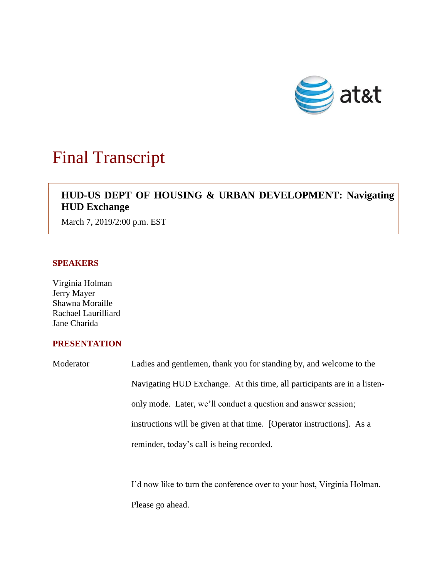

# Final Transcript

# **HUD-US DEPT OF HOUSING & URBAN DEVELOPMENT: Navigating HUD Exchange**

March 7, 2019/2:00 p.m. EST

# **SPEAKERS**

Virginia Holman Jerry Mayer Shawna Moraille Rachael Laurilliard Jane Charida

# **PRESENTATION**

Moderator Ladies and gentlemen, thank you for standing by, and welcome to the Navigating HUD Exchange. At this time, all participants are in a listenonly mode. Later, we'll conduct a question and answer session; instructions will be given at that time. [Operator instructions]. As a reminder, today's call is being recorded.

> I'd now like to turn the conference over to your host, Virginia Holman. Please go ahead.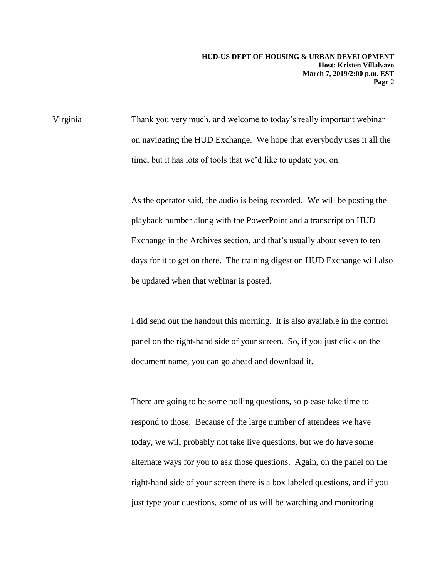Virginia Thank you very much, and welcome to today's really important webinar on navigating the HUD Exchange. We hope that everybody uses it all the time, but it has lots of tools that we'd like to update you on.

> As the operator said, the audio is being recorded. We will be posting the playback number along with the PowerPoint and a transcript on HUD Exchange in the Archives section, and that's usually about seven to ten days for it to get on there. The training digest on HUD Exchange will also be updated when that webinar is posted.

I did send out the handout this morning. It is also available in the control panel on the right-hand side of your screen. So, if you just click on the document name, you can go ahead and download it.

There are going to be some polling questions, so please take time to respond to those. Because of the large number of attendees we have today, we will probably not take live questions, but we do have some alternate ways for you to ask those questions. Again, on the panel on the right-hand side of your screen there is a box labeled questions, and if you just type your questions, some of us will be watching and monitoring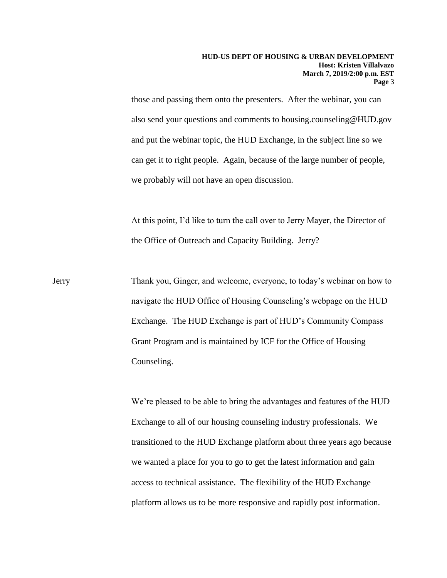those and passing them onto the presenters. After the webinar, you can also send your questions and comments to housing.counseling@HUD.gov and put the webinar topic, the HUD Exchange, in the subject line so we can get it to right people. Again, because of the large number of people, we probably will not have an open discussion.

At this point, I'd like to turn the call over to Jerry Mayer, the Director of the Office of Outreach and Capacity Building. Jerry?

Jerry Thank you, Ginger, and welcome, everyone, to today's webinar on how to navigate the HUD Office of Housing Counseling's webpage on the HUD Exchange. The HUD Exchange is part of HUD's Community Compass Grant Program and is maintained by ICF for the Office of Housing Counseling.

> We're pleased to be able to bring the advantages and features of the HUD Exchange to all of our housing counseling industry professionals. We transitioned to the HUD Exchange platform about three years ago because we wanted a place for you to go to get the latest information and gain access to technical assistance. The flexibility of the HUD Exchange platform allows us to be more responsive and rapidly post information.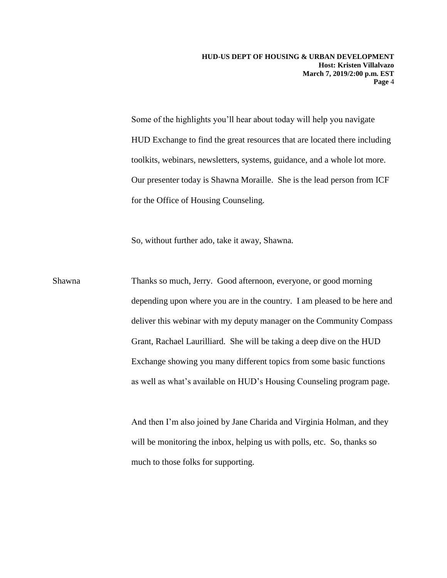Some of the highlights you'll hear about today will help you navigate HUD Exchange to find the great resources that are located there including toolkits, webinars, newsletters, systems, guidance, and a whole lot more. Our presenter today is Shawna Moraille. She is the lead person from ICF for the Office of Housing Counseling.

So, without further ado, take it away, Shawna.

Shawna Thanks so much, Jerry. Good afternoon, everyone, or good morning depending upon where you are in the country. I am pleased to be here and deliver this webinar with my deputy manager on the Community Compass Grant, Rachael Laurilliard. She will be taking a deep dive on the HUD Exchange showing you many different topics from some basic functions as well as what's available on HUD's Housing Counseling program page.

> And then I'm also joined by Jane Charida and Virginia Holman, and they will be monitoring the inbox, helping us with polls, etc. So, thanks so much to those folks for supporting.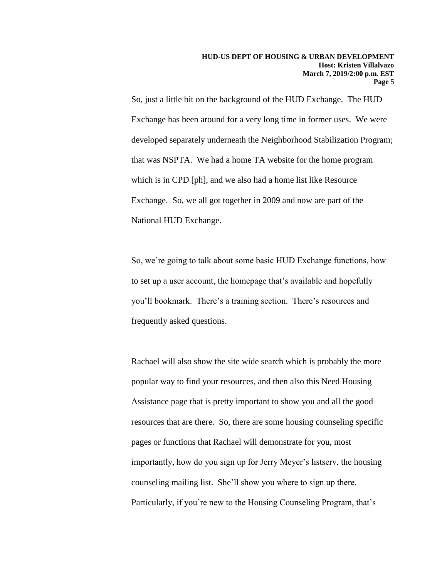So, just a little bit on the background of the HUD Exchange. The HUD Exchange has been around for a very long time in former uses. We were developed separately underneath the Neighborhood Stabilization Program; that was NSPTA. We had a home TA website for the home program which is in CPD [ph], and we also had a home list like Resource Exchange. So, we all got together in 2009 and now are part of the National HUD Exchange.

So, we're going to talk about some basic HUD Exchange functions, how to set up a user account, the homepage that's available and hopefully you'll bookmark. There's a training section. There's resources and frequently asked questions.

Rachael will also show the site wide search which is probably the more popular way to find your resources, and then also this Need Housing Assistance page that is pretty important to show you and all the good resources that are there. So, there are some housing counseling specific pages or functions that Rachael will demonstrate for you, most importantly, how do you sign up for Jerry Meyer's listserv, the housing counseling mailing list. She'll show you where to sign up there. Particularly, if you're new to the Housing Counseling Program, that's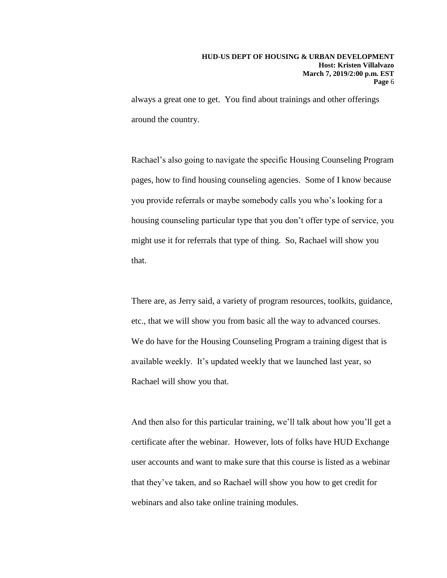always a great one to get. You find about trainings and other offerings around the country.

Rachael's also going to navigate the specific Housing Counseling Program pages, how to find housing counseling agencies. Some of I know because you provide referrals or maybe somebody calls you who's looking for a housing counseling particular type that you don't offer type of service, you might use it for referrals that type of thing. So, Rachael will show you that.

There are, as Jerry said, a variety of program resources, toolkits, guidance, etc., that we will show you from basic all the way to advanced courses. We do have for the Housing Counseling Program a training digest that is available weekly. It's updated weekly that we launched last year, so Rachael will show you that.

And then also for this particular training, we'll talk about how you'll get a certificate after the webinar. However, lots of folks have HUD Exchange user accounts and want to make sure that this course is listed as a webinar that they've taken, and so Rachael will show you how to get credit for webinars and also take online training modules.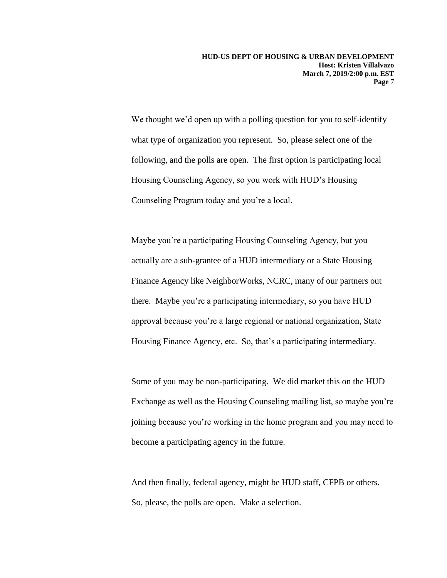We thought we'd open up with a polling question for you to self-identify what type of organization you represent. So, please select one of the following, and the polls are open. The first option is participating local Housing Counseling Agency, so you work with HUD's Housing Counseling Program today and you're a local.

Maybe you're a participating Housing Counseling Agency, but you actually are a sub-grantee of a HUD intermediary or a State Housing Finance Agency like NeighborWorks, NCRC, many of our partners out there. Maybe you're a participating intermediary, so you have HUD approval because you're a large regional or national organization, State Housing Finance Agency, etc. So, that's a participating intermediary.

Some of you may be non-participating. We did market this on the HUD Exchange as well as the Housing Counseling mailing list, so maybe you're joining because you're working in the home program and you may need to become a participating agency in the future.

And then finally, federal agency, might be HUD staff, CFPB or others. So, please, the polls are open. Make a selection.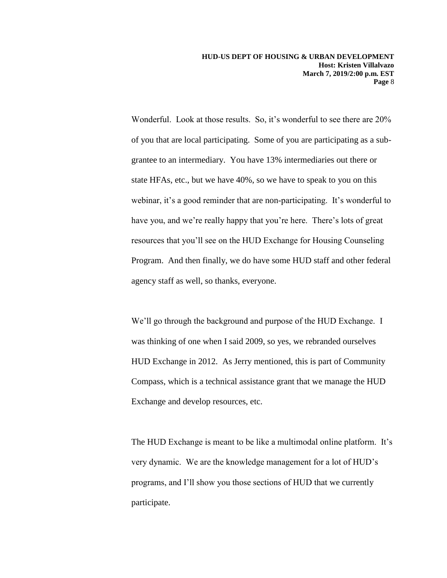Wonderful. Look at those results. So, it's wonderful to see there are 20% of you that are local participating. Some of you are participating as a subgrantee to an intermediary. You have 13% intermediaries out there or state HFAs, etc., but we have 40%, so we have to speak to you on this webinar, it's a good reminder that are non-participating. It's wonderful to have you, and we're really happy that you're here. There's lots of great resources that you'll see on the HUD Exchange for Housing Counseling Program. And then finally, we do have some HUD staff and other federal agency staff as well, so thanks, everyone.

We'll go through the background and purpose of the HUD Exchange. I was thinking of one when I said 2009, so yes, we rebranded ourselves HUD Exchange in 2012. As Jerry mentioned, this is part of Community Compass, which is a technical assistance grant that we manage the HUD Exchange and develop resources, etc.

The HUD Exchange is meant to be like a multimodal online platform. It's very dynamic. We are the knowledge management for a lot of HUD's programs, and I'll show you those sections of HUD that we currently participate.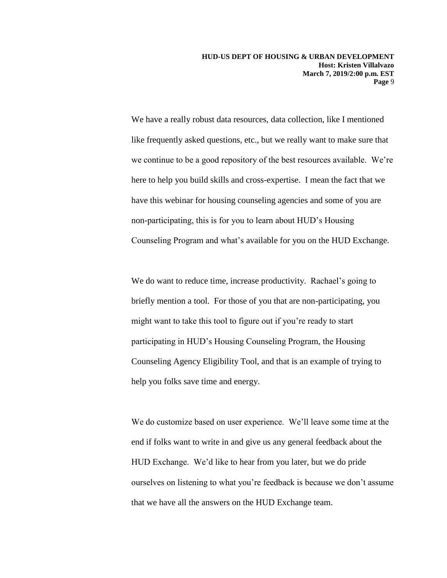We have a really robust data resources, data collection, like I mentioned like frequently asked questions, etc., but we really want to make sure that we continue to be a good repository of the best resources available. We're here to help you build skills and cross-expertise. I mean the fact that we have this webinar for housing counseling agencies and some of you are non-participating, this is for you to learn about HUD's Housing Counseling Program and what's available for you on the HUD Exchange.

We do want to reduce time, increase productivity. Rachael's going to briefly mention a tool. For those of you that are non-participating, you might want to take this tool to figure out if you're ready to start participating in HUD's Housing Counseling Program, the Housing Counseling Agency Eligibility Tool, and that is an example of trying to help you folks save time and energy.

We do customize based on user experience. We'll leave some time at the end if folks want to write in and give us any general feedback about the HUD Exchange. We'd like to hear from you later, but we do pride ourselves on listening to what you're feedback is because we don't assume that we have all the answers on the HUD Exchange team.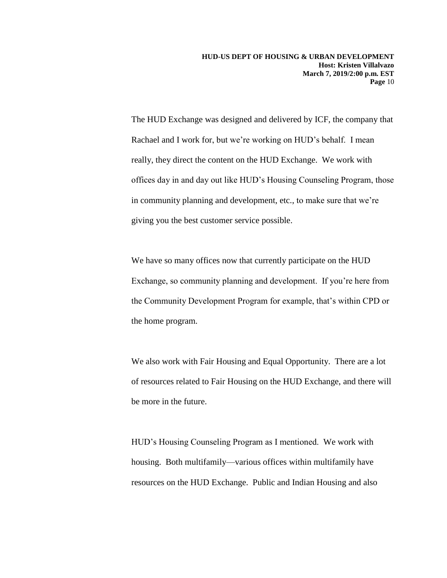The HUD Exchange was designed and delivered by ICF, the company that Rachael and I work for, but we're working on HUD's behalf. I mean really, they direct the content on the HUD Exchange. We work with offices day in and day out like HUD's Housing Counseling Program, those in community planning and development, etc., to make sure that we're giving you the best customer service possible.

We have so many offices now that currently participate on the HUD Exchange, so community planning and development. If you're here from the Community Development Program for example, that's within CPD or the home program.

We also work with Fair Housing and Equal Opportunity. There are a lot of resources related to Fair Housing on the HUD Exchange, and there will be more in the future.

HUD's Housing Counseling Program as I mentioned. We work with housing. Both multifamily—various offices within multifamily have resources on the HUD Exchange. Public and Indian Housing and also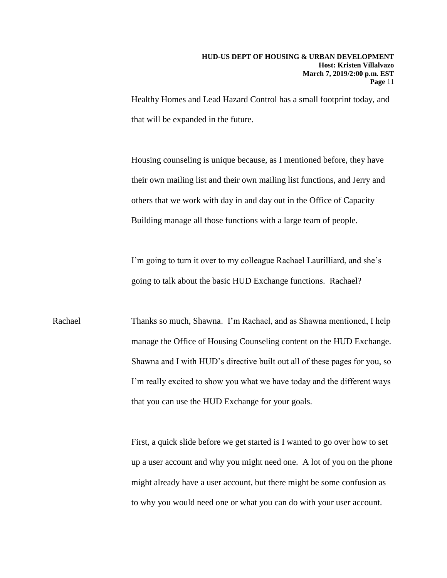Healthy Homes and Lead Hazard Control has a small footprint today, and that will be expanded in the future.

Housing counseling is unique because, as I mentioned before, they have their own mailing list and their own mailing list functions, and Jerry and others that we work with day in and day out in the Office of Capacity Building manage all those functions with a large team of people.

I'm going to turn it over to my colleague Rachael Laurilliard, and she's going to talk about the basic HUD Exchange functions. Rachael?

Rachael Thanks so much, Shawna. I'm Rachael, and as Shawna mentioned, I help manage the Office of Housing Counseling content on the HUD Exchange. Shawna and I with HUD's directive built out all of these pages for you, so I'm really excited to show you what we have today and the different ways that you can use the HUD Exchange for your goals.

> First, a quick slide before we get started is I wanted to go over how to set up a user account and why you might need one. A lot of you on the phone might already have a user account, but there might be some confusion as to why you would need one or what you can do with your user account.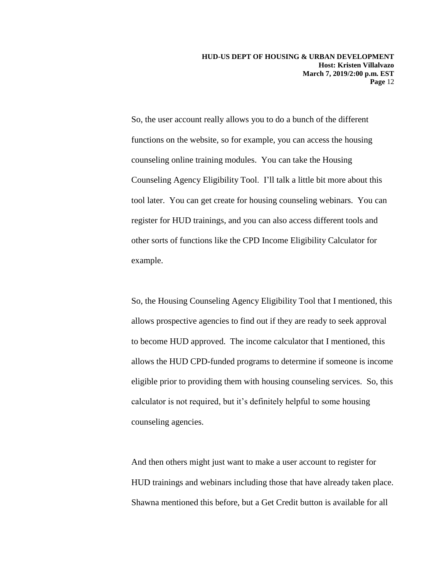So, the user account really allows you to do a bunch of the different functions on the website, so for example, you can access the housing counseling online training modules. You can take the Housing Counseling Agency Eligibility Tool. I'll talk a little bit more about this tool later. You can get create for housing counseling webinars. You can register for HUD trainings, and you can also access different tools and other sorts of functions like the CPD Income Eligibility Calculator for example.

So, the Housing Counseling Agency Eligibility Tool that I mentioned, this allows prospective agencies to find out if they are ready to seek approval to become HUD approved. The income calculator that I mentioned, this allows the HUD CPD-funded programs to determine if someone is income eligible prior to providing them with housing counseling services. So, this calculator is not required, but it's definitely helpful to some housing counseling agencies.

And then others might just want to make a user account to register for HUD trainings and webinars including those that have already taken place. Shawna mentioned this before, but a Get Credit button is available for all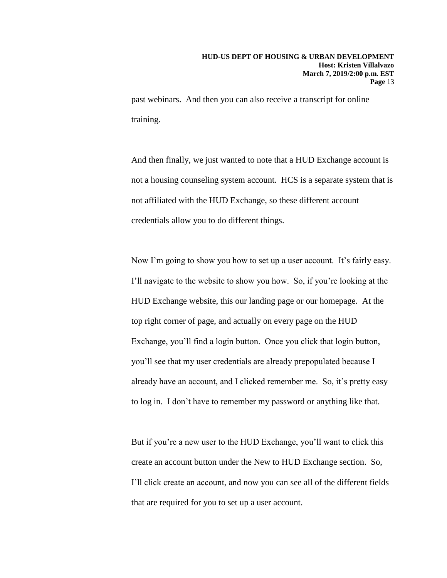past webinars. And then you can also receive a transcript for online training.

And then finally, we just wanted to note that a HUD Exchange account is not a housing counseling system account. HCS is a separate system that is not affiliated with the HUD Exchange, so these different account credentials allow you to do different things.

Now I'm going to show you how to set up a user account. It's fairly easy. I'll navigate to the website to show you how. So, if you're looking at the HUD Exchange website, this our landing page or our homepage. At the top right corner of page, and actually on every page on the HUD Exchange, you'll find a login button. Once you click that login button, you'll see that my user credentials are already prepopulated because I already have an account, and I clicked remember me. So, it's pretty easy to log in. I don't have to remember my password or anything like that.

But if you're a new user to the HUD Exchange, you'll want to click this create an account button under the New to HUD Exchange section. So, I'll click create an account, and now you can see all of the different fields that are required for you to set up a user account.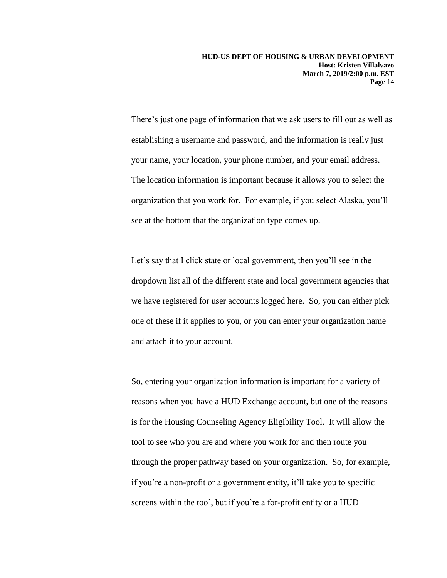There's just one page of information that we ask users to fill out as well as establishing a username and password, and the information is really just your name, your location, your phone number, and your email address. The location information is important because it allows you to select the organization that you work for. For example, if you select Alaska, you'll see at the bottom that the organization type comes up.

Let's say that I click state or local government, then you'll see in the dropdown list all of the different state and local government agencies that we have registered for user accounts logged here. So, you can either pick one of these if it applies to you, or you can enter your organization name and attach it to your account.

So, entering your organization information is important for a variety of reasons when you have a HUD Exchange account, but one of the reasons is for the Housing Counseling Agency Eligibility Tool. It will allow the tool to see who you are and where you work for and then route you through the proper pathway based on your organization. So, for example, if you're a non-profit or a government entity, it'll take you to specific screens within the too', but if you're a for-profit entity or a HUD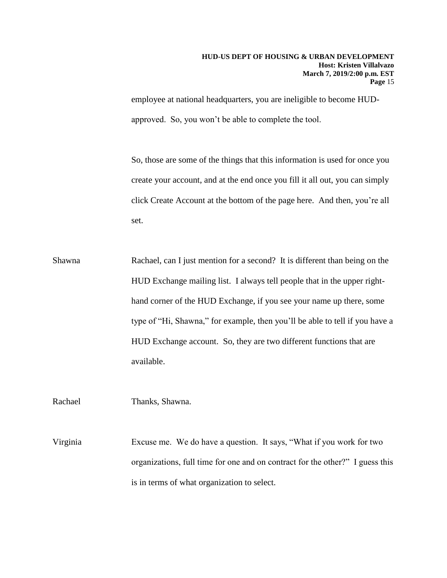employee at national headquarters, you are ineligible to become HUDapproved. So, you won't be able to complete the tool.

So, those are some of the things that this information is used for once you create your account, and at the end once you fill it all out, you can simply click Create Account at the bottom of the page here. And then, you're all set.

Shawna Rachael, can I just mention for a second? It is different than being on the HUD Exchange mailing list. I always tell people that in the upper righthand corner of the HUD Exchange, if you see your name up there, some type of "Hi, Shawna," for example, then you'll be able to tell if you have a HUD Exchange account. So, they are two different functions that are available.

Rachael Thanks, Shawna.

Virginia Excuse me. We do have a question. It says, "What if you work for two organizations, full time for one and on contract for the other?" I guess this is in terms of what organization to select.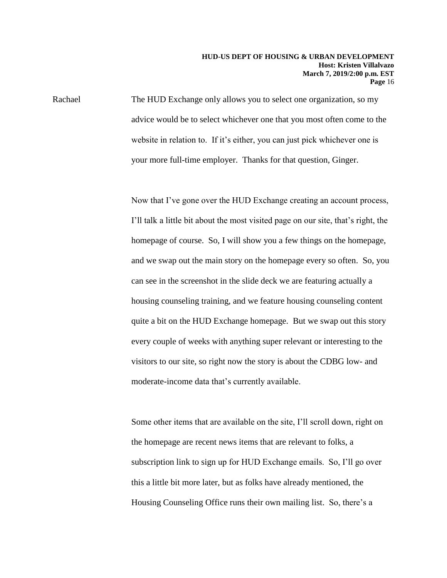Rachael The HUD Exchange only allows you to select one organization, so my advice would be to select whichever one that you most often come to the website in relation to. If it's either, you can just pick whichever one is your more full-time employer. Thanks for that question, Ginger.

> Now that I've gone over the HUD Exchange creating an account process, I'll talk a little bit about the most visited page on our site, that's right, the homepage of course. So, I will show you a few things on the homepage, and we swap out the main story on the homepage every so often. So, you can see in the screenshot in the slide deck we are featuring actually a housing counseling training, and we feature housing counseling content quite a bit on the HUD Exchange homepage. But we swap out this story every couple of weeks with anything super relevant or interesting to the visitors to our site, so right now the story is about the CDBG low- and moderate-income data that's currently available.

Some other items that are available on the site, I'll scroll down, right on the homepage are recent news items that are relevant to folks, a subscription link to sign up for HUD Exchange emails. So, I'll go over this a little bit more later, but as folks have already mentioned, the Housing Counseling Office runs their own mailing list. So, there's a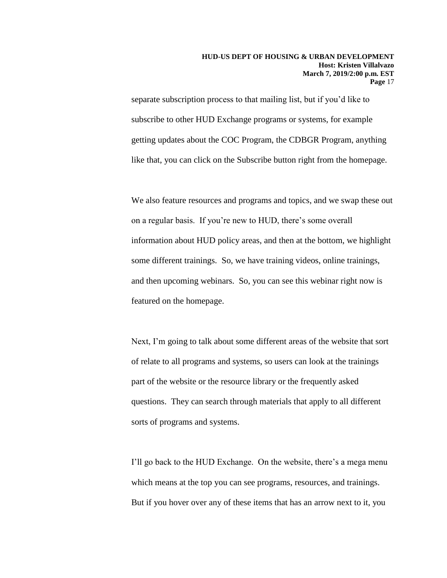separate subscription process to that mailing list, but if you'd like to subscribe to other HUD Exchange programs or systems, for example getting updates about the COC Program, the CDBGR Program, anything like that, you can click on the Subscribe button right from the homepage.

We also feature resources and programs and topics, and we swap these out on a regular basis. If you're new to HUD, there's some overall information about HUD policy areas, and then at the bottom, we highlight some different trainings. So, we have training videos, online trainings, and then upcoming webinars. So, you can see this webinar right now is featured on the homepage.

Next, I'm going to talk about some different areas of the website that sort of relate to all programs and systems, so users can look at the trainings part of the website or the resource library or the frequently asked questions. They can search through materials that apply to all different sorts of programs and systems.

I'll go back to the HUD Exchange. On the website, there's a mega menu which means at the top you can see programs, resources, and trainings. But if you hover over any of these items that has an arrow next to it, you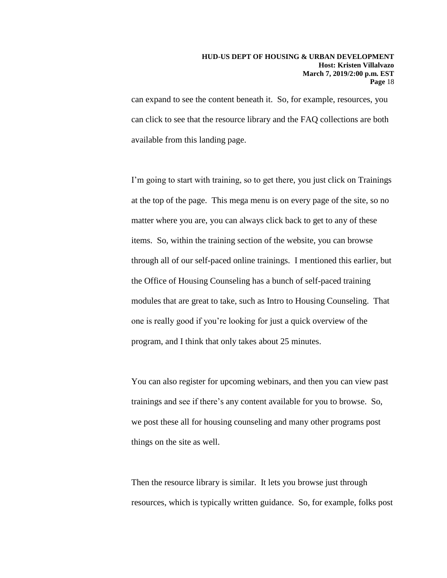can expand to see the content beneath it. So, for example, resources, you can click to see that the resource library and the FAQ collections are both available from this landing page.

I'm going to start with training, so to get there, you just click on Trainings at the top of the page. This mega menu is on every page of the site, so no matter where you are, you can always click back to get to any of these items. So, within the training section of the website, you can browse through all of our self-paced online trainings. I mentioned this earlier, but the Office of Housing Counseling has a bunch of self-paced training modules that are great to take, such as Intro to Housing Counseling. That one is really good if you're looking for just a quick overview of the program, and I think that only takes about 25 minutes.

You can also register for upcoming webinars, and then you can view past trainings and see if there's any content available for you to browse. So, we post these all for housing counseling and many other programs post things on the site as well.

Then the resource library is similar. It lets you browse just through resources, which is typically written guidance. So, for example, folks post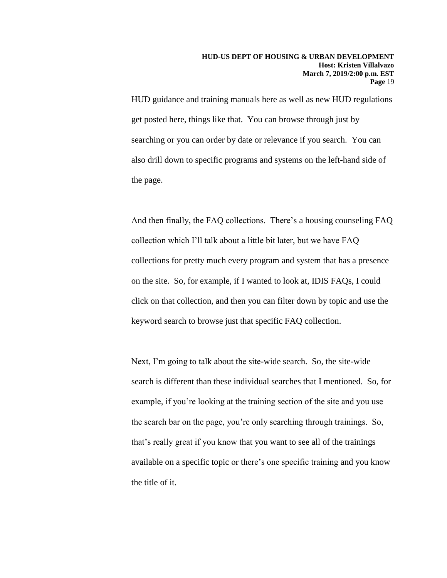HUD guidance and training manuals here as well as new HUD regulations get posted here, things like that. You can browse through just by searching or you can order by date or relevance if you search. You can also drill down to specific programs and systems on the left-hand side of the page.

And then finally, the FAQ collections. There's a housing counseling FAQ collection which I'll talk about a little bit later, but we have FAQ collections for pretty much every program and system that has a presence on the site. So, for example, if I wanted to look at, IDIS FAQs, I could click on that collection, and then you can filter down by topic and use the keyword search to browse just that specific FAQ collection.

Next, I'm going to talk about the site-wide search. So, the site-wide search is different than these individual searches that I mentioned. So, for example, if you're looking at the training section of the site and you use the search bar on the page, you're only searching through trainings. So, that's really great if you know that you want to see all of the trainings available on a specific topic or there's one specific training and you know the title of it.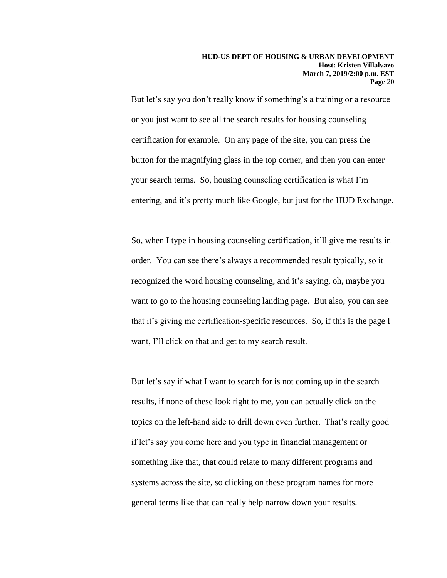But let's say you don't really know if something's a training or a resource or you just want to see all the search results for housing counseling certification for example. On any page of the site, you can press the button for the magnifying glass in the top corner, and then you can enter your search terms. So, housing counseling certification is what I'm entering, and it's pretty much like Google, but just for the HUD Exchange.

So, when I type in housing counseling certification, it'll give me results in order. You can see there's always a recommended result typically, so it recognized the word housing counseling, and it's saying, oh, maybe you want to go to the housing counseling landing page. But also, you can see that it's giving me certification-specific resources. So, if this is the page I want, I'll click on that and get to my search result.

But let's say if what I want to search for is not coming up in the search results, if none of these look right to me, you can actually click on the topics on the left-hand side to drill down even further. That's really good if let's say you come here and you type in financial management or something like that, that could relate to many different programs and systems across the site, so clicking on these program names for more general terms like that can really help narrow down your results.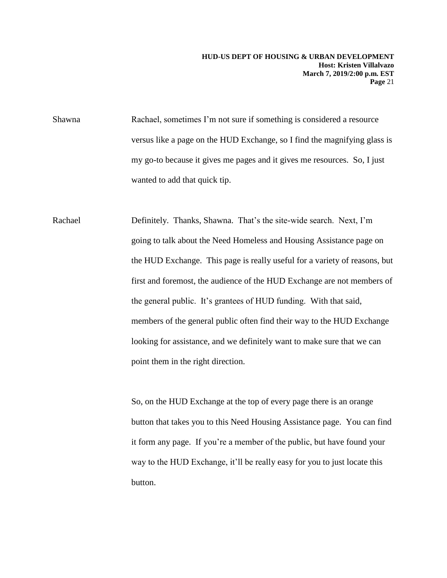Shawna Rachael, sometimes I'm not sure if something is considered a resource versus like a page on the HUD Exchange, so I find the magnifying glass is my go-to because it gives me pages and it gives me resources. So, I just wanted to add that quick tip.

Rachael Definitely. Thanks, Shawna. That's the site-wide search. Next, I'm going to talk about the Need Homeless and Housing Assistance page on the HUD Exchange. This page is really useful for a variety of reasons, but first and foremost, the audience of the HUD Exchange are not members of the general public. It's grantees of HUD funding. With that said, members of the general public often find their way to the HUD Exchange looking for assistance, and we definitely want to make sure that we can point them in the right direction.

> So, on the HUD Exchange at the top of every page there is an orange button that takes you to this Need Housing Assistance page. You can find it form any page. If you're a member of the public, but have found your way to the HUD Exchange, it'll be really easy for you to just locate this button.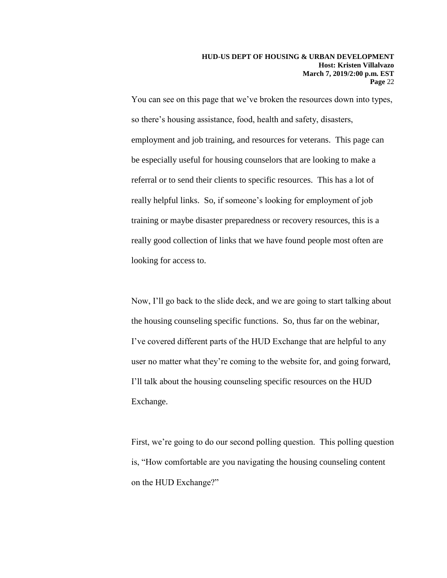You can see on this page that we've broken the resources down into types, so there's housing assistance, food, health and safety, disasters, employment and job training, and resources for veterans. This page can be especially useful for housing counselors that are looking to make a referral or to send their clients to specific resources. This has a lot of really helpful links. So, if someone's looking for employment of job training or maybe disaster preparedness or recovery resources, this is a really good collection of links that we have found people most often are looking for access to.

Now, I'll go back to the slide deck, and we are going to start talking about the housing counseling specific functions. So, thus far on the webinar, I've covered different parts of the HUD Exchange that are helpful to any user no matter what they're coming to the website for, and going forward, I'll talk about the housing counseling specific resources on the HUD Exchange.

First, we're going to do our second polling question. This polling question is, "How comfortable are you navigating the housing counseling content on the HUD Exchange?"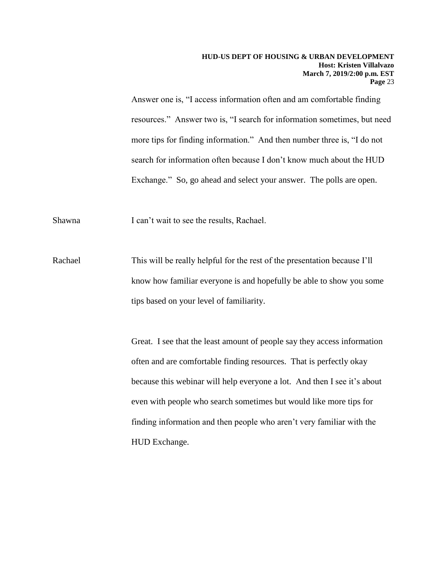Answer one is, "I access information often and am comfortable finding resources." Answer two is, "I search for information sometimes, but need more tips for finding information." And then number three is, "I do not search for information often because I don't know much about the HUD Exchange." So, go ahead and select your answer. The polls are open.

Shawna I can't wait to see the results, Rachael.

Rachael This will be really helpful for the rest of the presentation because I'll know how familiar everyone is and hopefully be able to show you some tips based on your level of familiarity.

> Great. I see that the least amount of people say they access information often and are comfortable finding resources. That is perfectly okay because this webinar will help everyone a lot. And then I see it's about even with people who search sometimes but would like more tips for finding information and then people who aren't very familiar with the HUD Exchange.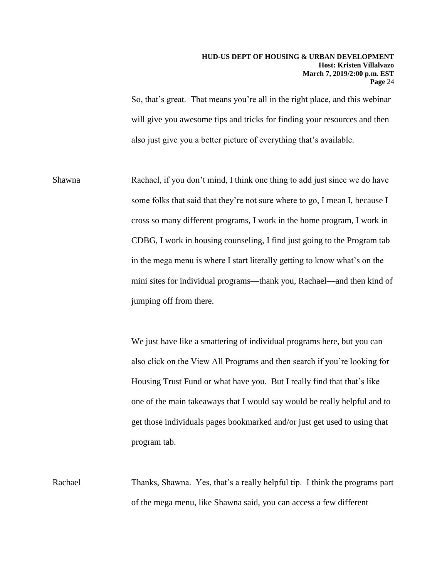So, that's great. That means you're all in the right place, and this webinar will give you awesome tips and tricks for finding your resources and then also just give you a better picture of everything that's available.

Shawna Rachael, if you don't mind, I think one thing to add just since we do have some folks that said that they're not sure where to go, I mean I, because I cross so many different programs, I work in the home program, I work in CDBG, I work in housing counseling, I find just going to the Program tab in the mega menu is where I start literally getting to know what's on the mini sites for individual programs—thank you, Rachael—and then kind of jumping off from there.

> We just have like a smattering of individual programs here, but you can also click on the View All Programs and then search if you're looking for Housing Trust Fund or what have you. But I really find that that's like one of the main takeaways that I would say would be really helpful and to get those individuals pages bookmarked and/or just get used to using that program tab.

Rachael Thanks, Shawna. Yes, that's a really helpful tip. I think the programs part of the mega menu, like Shawna said, you can access a few different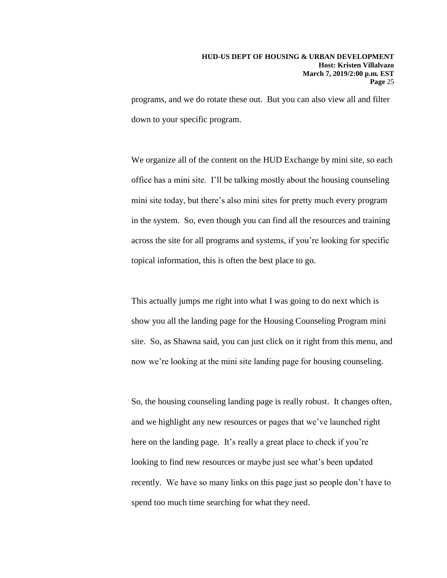programs, and we do rotate these out. But you can also view all and filter down to your specific program.

We organize all of the content on the HUD Exchange by mini site, so each office has a mini site. I'll be talking mostly about the housing counseling mini site today, but there's also mini sites for pretty much every program in the system. So, even though you can find all the resources and training across the site for all programs and systems, if you're looking for specific topical information, this is often the best place to go.

This actually jumps me right into what I was going to do next which is show you all the landing page for the Housing Counseling Program mini site. So, as Shawna said, you can just click on it right from this menu, and now we're looking at the mini site landing page for housing counseling.

So, the housing counseling landing page is really robust. It changes often, and we highlight any new resources or pages that we've launched right here on the landing page. It's really a great place to check if you're looking to find new resources or maybe just see what's been updated recently. We have so many links on this page just so people don't have to spend too much time searching for what they need.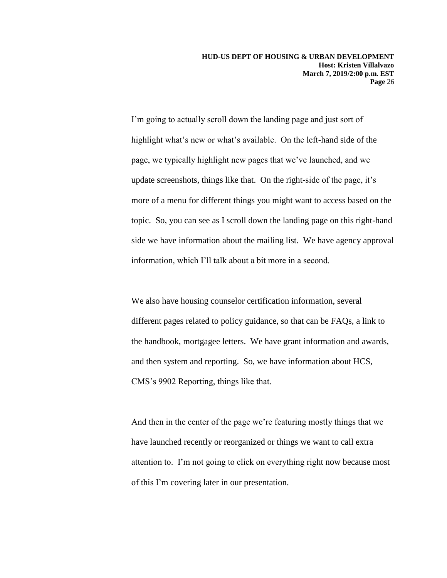I'm going to actually scroll down the landing page and just sort of highlight what's new or what's available. On the left-hand side of the page, we typically highlight new pages that we've launched, and we update screenshots, things like that. On the right-side of the page, it's more of a menu for different things you might want to access based on the topic. So, you can see as I scroll down the landing page on this right-hand side we have information about the mailing list. We have agency approval information, which I'll talk about a bit more in a second.

We also have housing counselor certification information, several different pages related to policy guidance, so that can be FAQs, a link to the handbook, mortgagee letters. We have grant information and awards, and then system and reporting. So, we have information about HCS, CMS's 9902 Reporting, things like that.

And then in the center of the page we're featuring mostly things that we have launched recently or reorganized or things we want to call extra attention to. I'm not going to click on everything right now because most of this I'm covering later in our presentation.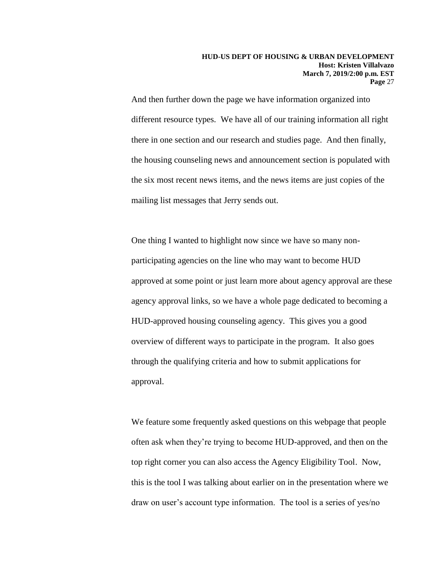And then further down the page we have information organized into different resource types. We have all of our training information all right there in one section and our research and studies page. And then finally, the housing counseling news and announcement section is populated with the six most recent news items, and the news items are just copies of the mailing list messages that Jerry sends out.

One thing I wanted to highlight now since we have so many nonparticipating agencies on the line who may want to become HUD approved at some point or just learn more about agency approval are these agency approval links, so we have a whole page dedicated to becoming a HUD-approved housing counseling agency. This gives you a good overview of different ways to participate in the program. It also goes through the qualifying criteria and how to submit applications for approval.

We feature some frequently asked questions on this webpage that people often ask when they're trying to become HUD-approved, and then on the top right corner you can also access the Agency Eligibility Tool. Now, this is the tool I was talking about earlier on in the presentation where we draw on user's account type information. The tool is a series of yes/no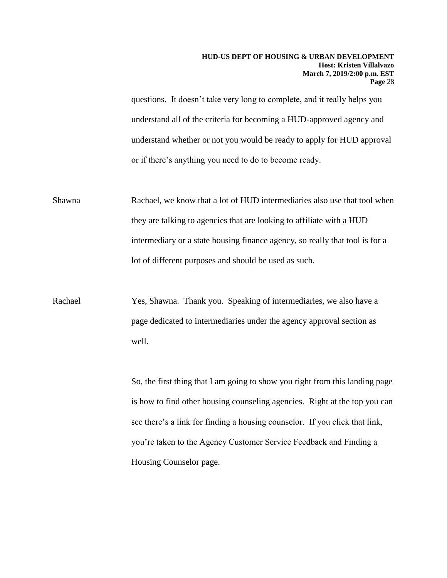questions. It doesn't take very long to complete, and it really helps you understand all of the criteria for becoming a HUD-approved agency and understand whether or not you would be ready to apply for HUD approval or if there's anything you need to do to become ready.

Shawna Rachael, we know that a lot of HUD intermediaries also use that tool when they are talking to agencies that are looking to affiliate with a HUD intermediary or a state housing finance agency, so really that tool is for a lot of different purposes and should be used as such.

Rachael Yes, Shawna. Thank you. Speaking of intermediaries, we also have a page dedicated to intermediaries under the agency approval section as well.

> So, the first thing that I am going to show you right from this landing page is how to find other housing counseling agencies. Right at the top you can see there's a link for finding a housing counselor. If you click that link, you're taken to the Agency Customer Service Feedback and Finding a Housing Counselor page.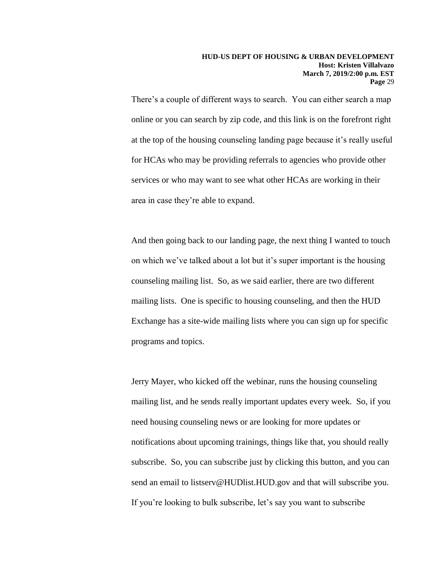There's a couple of different ways to search. You can either search a map online or you can search by zip code, and this link is on the forefront right at the top of the housing counseling landing page because it's really useful for HCAs who may be providing referrals to agencies who provide other services or who may want to see what other HCAs are working in their area in case they're able to expand.

And then going back to our landing page, the next thing I wanted to touch on which we've talked about a lot but it's super important is the housing counseling mailing list. So, as we said earlier, there are two different mailing lists. One is specific to housing counseling, and then the HUD Exchange has a site-wide mailing lists where you can sign up for specific programs and topics.

Jerry Mayer, who kicked off the webinar, runs the housing counseling mailing list, and he sends really important updates every week. So, if you need housing counseling news or are looking for more updates or notifications about upcoming trainings, things like that, you should really subscribe. So, you can subscribe just by clicking this button, and you can send an email to listserv@HUDlist.HUD.gov and that will subscribe you. If you're looking to bulk subscribe, let's say you want to subscribe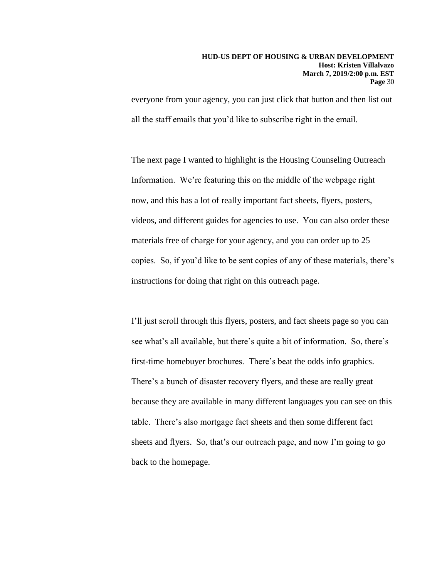everyone from your agency, you can just click that button and then list out all the staff emails that you'd like to subscribe right in the email.

The next page I wanted to highlight is the Housing Counseling Outreach Information. We're featuring this on the middle of the webpage right now, and this has a lot of really important fact sheets, flyers, posters, videos, and different guides for agencies to use. You can also order these materials free of charge for your agency, and you can order up to 25 copies. So, if you'd like to be sent copies of any of these materials, there's instructions for doing that right on this outreach page.

I'll just scroll through this flyers, posters, and fact sheets page so you can see what's all available, but there's quite a bit of information. So, there's first-time homebuyer brochures. There's beat the odds info graphics. There's a bunch of disaster recovery flyers, and these are really great because they are available in many different languages you can see on this table. There's also mortgage fact sheets and then some different fact sheets and flyers. So, that's our outreach page, and now I'm going to go back to the homepage.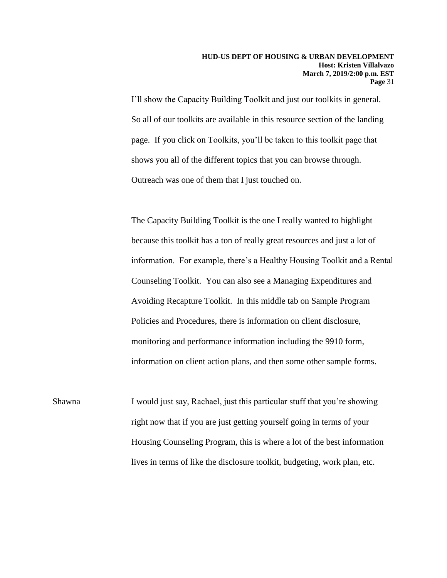I'll show the Capacity Building Toolkit and just our toolkits in general. So all of our toolkits are available in this resource section of the landing page. If you click on Toolkits, you'll be taken to this toolkit page that shows you all of the different topics that you can browse through. Outreach was one of them that I just touched on.

The Capacity Building Toolkit is the one I really wanted to highlight because this toolkit has a ton of really great resources and just a lot of information. For example, there's a Healthy Housing Toolkit and a Rental Counseling Toolkit. You can also see a Managing Expenditures and Avoiding Recapture Toolkit. In this middle tab on Sample Program Policies and Procedures, there is information on client disclosure, monitoring and performance information including the 9910 form, information on client action plans, and then some other sample forms.

Shawna I would just say, Rachael, just this particular stuff that you're showing right now that if you are just getting yourself going in terms of your Housing Counseling Program, this is where a lot of the best information lives in terms of like the disclosure toolkit, budgeting, work plan, etc.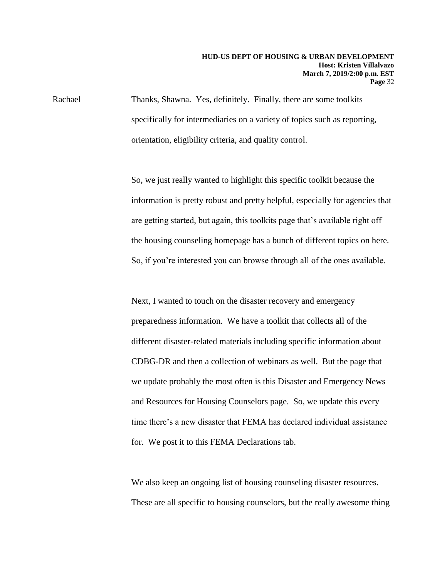Rachael Thanks, Shawna. Yes, definitely. Finally, there are some toolkits specifically for intermediaries on a variety of topics such as reporting, orientation, eligibility criteria, and quality control.

> So, we just really wanted to highlight this specific toolkit because the information is pretty robust and pretty helpful, especially for agencies that are getting started, but again, this toolkits page that's available right off the housing counseling homepage has a bunch of different topics on here. So, if you're interested you can browse through all of the ones available.

Next, I wanted to touch on the disaster recovery and emergency preparedness information. We have a toolkit that collects all of the different disaster-related materials including specific information about CDBG-DR and then a collection of webinars as well. But the page that we update probably the most often is this Disaster and Emergency News and Resources for Housing Counselors page. So, we update this every time there's a new disaster that FEMA has declared individual assistance for. We post it to this FEMA Declarations tab.

We also keep an ongoing list of housing counseling disaster resources. These are all specific to housing counselors, but the really awesome thing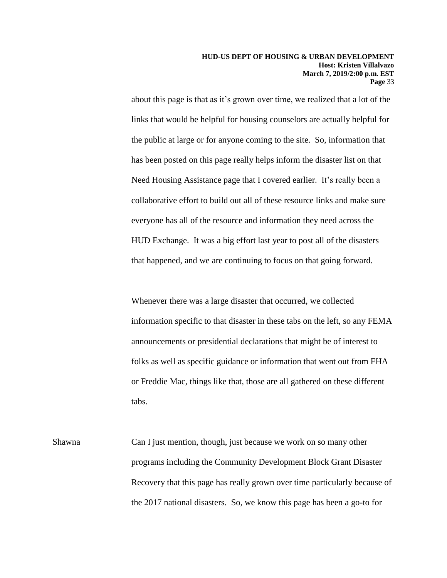about this page is that as it's grown over time, we realized that a lot of the links that would be helpful for housing counselors are actually helpful for the public at large or for anyone coming to the site. So, information that has been posted on this page really helps inform the disaster list on that Need Housing Assistance page that I covered earlier. It's really been a collaborative effort to build out all of these resource links and make sure everyone has all of the resource and information they need across the HUD Exchange. It was a big effort last year to post all of the disasters that happened, and we are continuing to focus on that going forward.

Whenever there was a large disaster that occurred, we collected information specific to that disaster in these tabs on the left, so any FEMA announcements or presidential declarations that might be of interest to folks as well as specific guidance or information that went out from FHA or Freddie Mac, things like that, those are all gathered on these different tabs.

Shawna Can I just mention, though, just because we work on so many other programs including the Community Development Block Grant Disaster Recovery that this page has really grown over time particularly because of the 2017 national disasters. So, we know this page has been a go-to for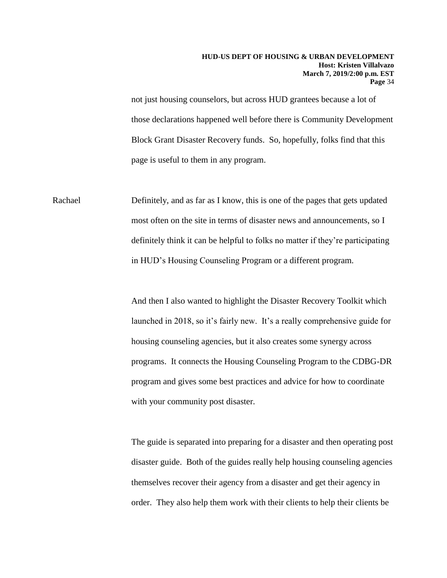not just housing counselors, but across HUD grantees because a lot of those declarations happened well before there is Community Development Block Grant Disaster Recovery funds. So, hopefully, folks find that this page is useful to them in any program.

Rachael Definitely, and as far as I know, this is one of the pages that gets updated most often on the site in terms of disaster news and announcements, so I definitely think it can be helpful to folks no matter if they're participating in HUD's Housing Counseling Program or a different program.

> And then I also wanted to highlight the Disaster Recovery Toolkit which launched in 2018, so it's fairly new. It's a really comprehensive guide for housing counseling agencies, but it also creates some synergy across programs. It connects the Housing Counseling Program to the CDBG-DR program and gives some best practices and advice for how to coordinate with your community post disaster.

> The guide is separated into preparing for a disaster and then operating post disaster guide. Both of the guides really help housing counseling agencies themselves recover their agency from a disaster and get their agency in order. They also help them work with their clients to help their clients be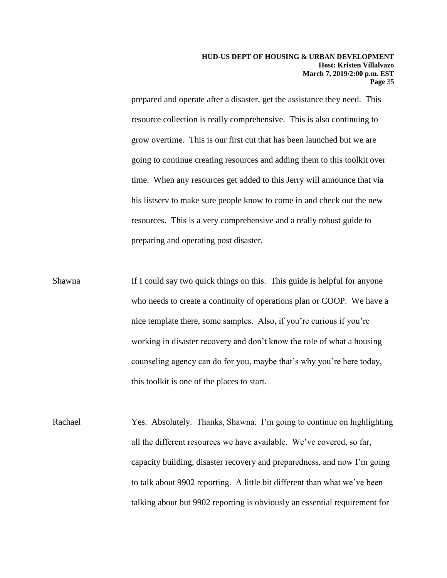prepared and operate after a disaster, get the assistance they need. This resource collection is really comprehensive. This is also continuing to grow overtime. This is our first cut that has been launched but we are going to continue creating resources and adding them to this toolkit over time. When any resources get added to this Jerry will announce that via his listserv to make sure people know to come in and check out the new resources. This is a very comprehensive and a really robust guide to preparing and operating post disaster.

Shawna If I could say two quick things on this. This guide is helpful for anyone who needs to create a continuity of operations plan or COOP. We have a nice template there, some samples. Also, if you're curious if you're working in disaster recovery and don't know the role of what a housing counseling agency can do for you, maybe that's why you're here today, this toolkit is one of the places to start.

Rachael Yes. Absolutely. Thanks, Shawna. I'm going to continue on highlighting all the different resources we have available. We've covered, so far, capacity building, disaster recovery and preparedness, and now I'm going to talk about 9902 reporting. A little bit different than what we've been talking about but 9902 reporting is obviously an essential requirement for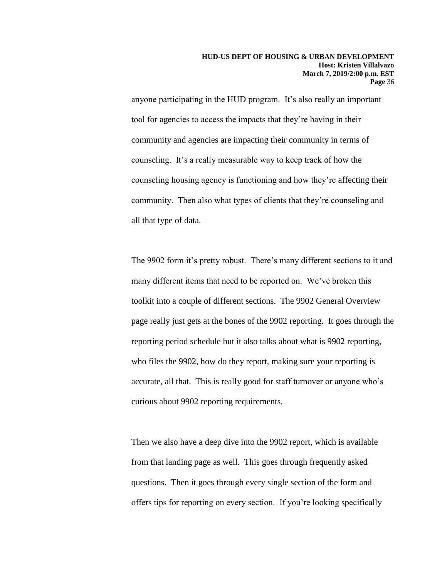anyone participating in the HUD program. It's also really an important tool for agencies to access the impacts that they're having in their community and agencies are impacting their community in terms of counseling. It's a really measurable way to keep track of how the counseling housing agency is functioning and how they're affecting their community. Then also what types of clients that they're counseling and all that type of data.

The 9902 form it's pretty robust. There's many different sections to it and many different items that need to be reported on. We've broken this toolkit into a couple of different sections. The 9902 General Overview page really just gets at the bones of the 9902 reporting. It goes through the reporting period schedule but it also talks about what is 9902 reporting, who files the 9902, how do they report, making sure your reporting is accurate, all that. This is really good for staff turnover or anyone who's curious about 9902 reporting requirements.

Then we also have a deep dive into the 9902 report, which is available from that landing page as well. This goes through frequently asked questions. Then it goes through every single section of the form and offers tips for reporting on every section. If you're looking specifically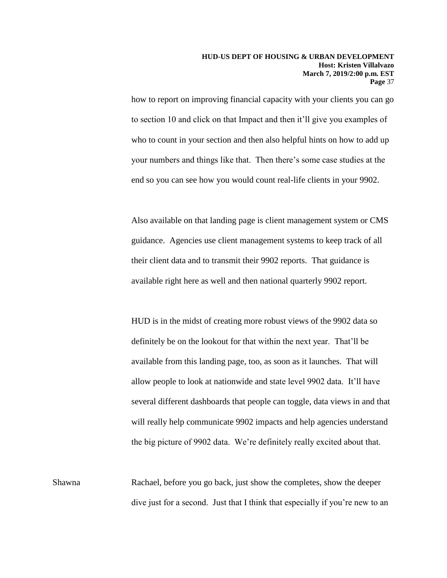how to report on improving financial capacity with your clients you can go to section 10 and click on that Impact and then it'll give you examples of who to count in your section and then also helpful hints on how to add up your numbers and things like that. Then there's some case studies at the end so you can see how you would count real-life clients in your 9902.

Also available on that landing page is client management system or CMS guidance. Agencies use client management systems to keep track of all their client data and to transmit their 9902 reports. That guidance is available right here as well and then national quarterly 9902 report.

HUD is in the midst of creating more robust views of the 9902 data so definitely be on the lookout for that within the next year. That'll be available from this landing page, too, as soon as it launches. That will allow people to look at nationwide and state level 9902 data. It'll have several different dashboards that people can toggle, data views in and that will really help communicate 9902 impacts and help agencies understand the big picture of 9902 data. We're definitely really excited about that.

Shawna Rachael, before you go back, just show the completes, show the deeper dive just for a second. Just that I think that especially if you're new to an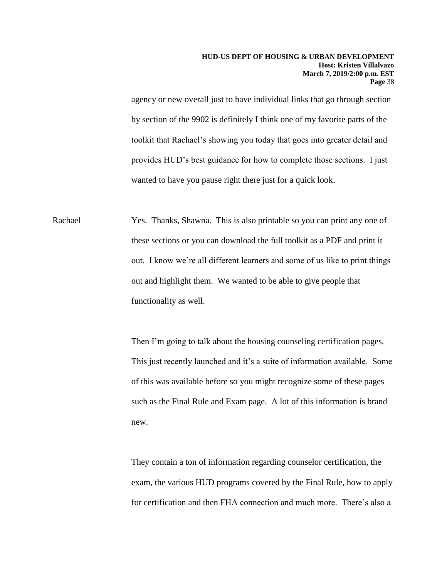agency or new overall just to have individual links that go through section by section of the 9902 is definitely I think one of my favorite parts of the toolkit that Rachael's showing you today that goes into greater detail and provides HUD's best guidance for how to complete those sections. I just wanted to have you pause right there just for a quick look.

Rachael Yes. Thanks, Shawna. This is also printable so you can print any one of these sections or you can download the full toolkit as a PDF and print it out. I know we're all different learners and some of us like to print things out and highlight them. We wanted to be able to give people that functionality as well.

> Then I'm going to talk about the housing counseling certification pages. This just recently launched and it's a suite of information available. Some of this was available before so you might recognize some of these pages such as the Final Rule and Exam page. A lot of this information is brand new.

> They contain a ton of information regarding counselor certification, the exam, the various HUD programs covered by the Final Rule, how to apply for certification and then FHA connection and much more. There's also a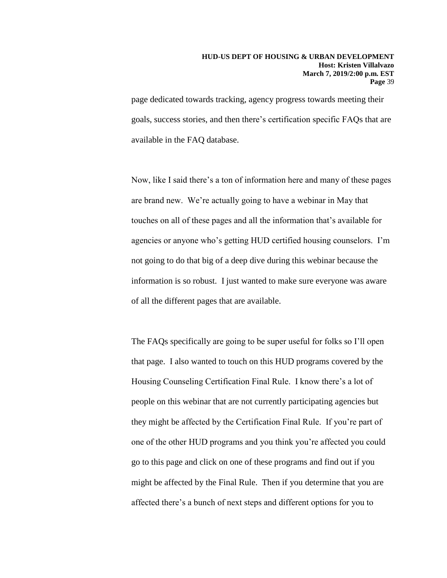page dedicated towards tracking, agency progress towards meeting their goals, success stories, and then there's certification specific FAQs that are available in the FAQ database.

Now, like I said there's a ton of information here and many of these pages are brand new. We're actually going to have a webinar in May that touches on all of these pages and all the information that's available for agencies or anyone who's getting HUD certified housing counselors. I'm not going to do that big of a deep dive during this webinar because the information is so robust. I just wanted to make sure everyone was aware of all the different pages that are available.

The FAQs specifically are going to be super useful for folks so I'll open that page. I also wanted to touch on this HUD programs covered by the Housing Counseling Certification Final Rule. I know there's a lot of people on this webinar that are not currently participating agencies but they might be affected by the Certification Final Rule. If you're part of one of the other HUD programs and you think you're affected you could go to this page and click on one of these programs and find out if you might be affected by the Final Rule. Then if you determine that you are affected there's a bunch of next steps and different options for you to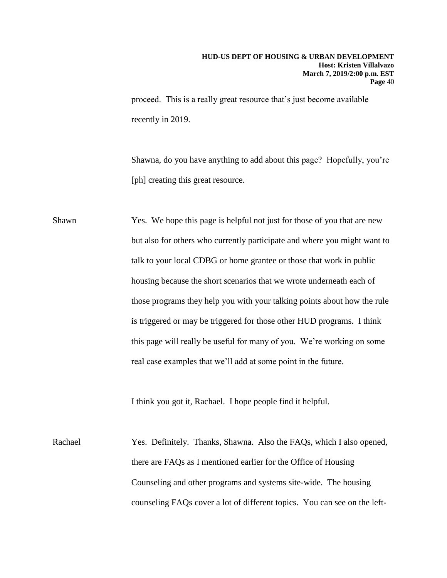proceed. This is a really great resource that's just become available recently in 2019.

Shawna, do you have anything to add about this page? Hopefully, you're [ph] creating this great resource.

Shawn Yes. We hope this page is helpful not just for those of you that are new but also for others who currently participate and where you might want to talk to your local CDBG or home grantee or those that work in public housing because the short scenarios that we wrote underneath each of those programs they help you with your talking points about how the rule is triggered or may be triggered for those other HUD programs. I think this page will really be useful for many of you. We're working on some real case examples that we'll add at some point in the future.

I think you got it, Rachael. I hope people find it helpful.

Rachael Yes. Definitely. Thanks, Shawna. Also the FAQs, which I also opened, there are FAQs as I mentioned earlier for the Office of Housing Counseling and other programs and systems site-wide. The housing counseling FAQs cover a lot of different topics. You can see on the left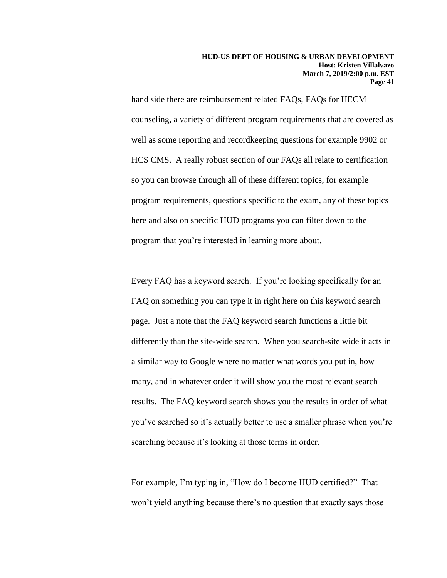hand side there are reimbursement related FAQs, FAQs for HECM counseling, a variety of different program requirements that are covered as well as some reporting and recordkeeping questions for example 9902 or HCS CMS. A really robust section of our FAQs all relate to certification so you can browse through all of these different topics, for example program requirements, questions specific to the exam, any of these topics here and also on specific HUD programs you can filter down to the program that you're interested in learning more about.

Every FAQ has a keyword search. If you're looking specifically for an FAQ on something you can type it in right here on this keyword search page. Just a note that the FAQ keyword search functions a little bit differently than the site-wide search. When you search-site wide it acts in a similar way to Google where no matter what words you put in, how many, and in whatever order it will show you the most relevant search results. The FAQ keyword search shows you the results in order of what you've searched so it's actually better to use a smaller phrase when you're searching because it's looking at those terms in order.

For example, I'm typing in, "How do I become HUD certified?" That won't yield anything because there's no question that exactly says those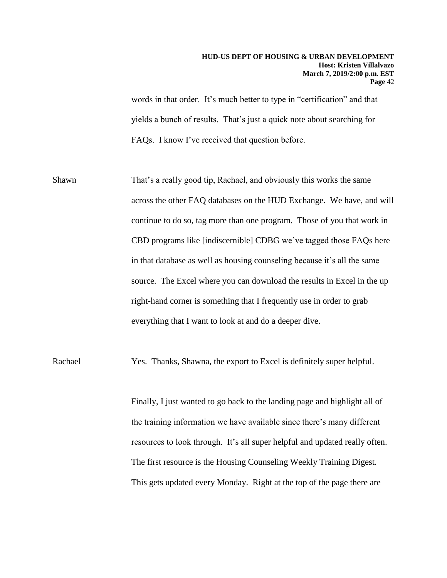words in that order. It's much better to type in "certification" and that yields a bunch of results. That's just a quick note about searching for FAQs. I know I've received that question before.

Shawn That's a really good tip, Rachael, and obviously this works the same across the other FAQ databases on the HUD Exchange. We have, and will continue to do so, tag more than one program. Those of you that work in CBD programs like [indiscernible] CDBG we've tagged those FAQs here in that database as well as housing counseling because it's all the same source. The Excel where you can download the results in Excel in the up right-hand corner is something that I frequently use in order to grab everything that I want to look at and do a deeper dive.

Rachael Yes. Thanks, Shawna, the export to Excel is definitely super helpful.

Finally, I just wanted to go back to the landing page and highlight all of the training information we have available since there's many different resources to look through. It's all super helpful and updated really often. The first resource is the Housing Counseling Weekly Training Digest. This gets updated every Monday. Right at the top of the page there are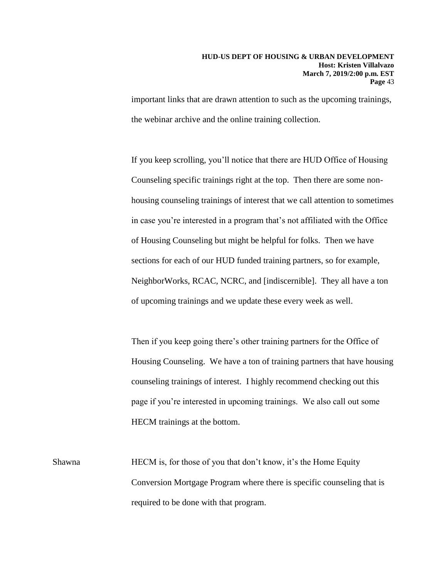important links that are drawn attention to such as the upcoming trainings, the webinar archive and the online training collection.

If you keep scrolling, you'll notice that there are HUD Office of Housing Counseling specific trainings right at the top. Then there are some nonhousing counseling trainings of interest that we call attention to sometimes in case you're interested in a program that's not affiliated with the Office of Housing Counseling but might be helpful for folks. Then we have sections for each of our HUD funded training partners, so for example, NeighborWorks, RCAC, NCRC, and [indiscernible]. They all have a ton of upcoming trainings and we update these every week as well.

Then if you keep going there's other training partners for the Office of Housing Counseling. We have a ton of training partners that have housing counseling trainings of interest. I highly recommend checking out this page if you're interested in upcoming trainings. We also call out some HECM trainings at the bottom.

Shawna HECM is, for those of you that don't know, it's the Home Equity Conversion Mortgage Program where there is specific counseling that is required to be done with that program.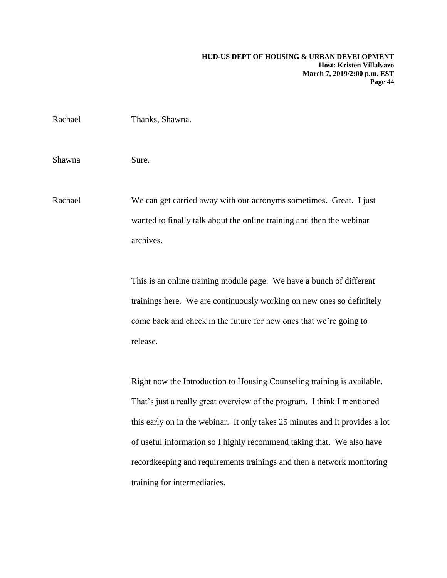| Rachael | Thanks, Shawna.                                                                                                                                          |
|---------|----------------------------------------------------------------------------------------------------------------------------------------------------------|
| Shawna  | Sure.                                                                                                                                                    |
| Rachael | We can get carried away with our acronyms sometimes. Great. I just<br>wanted to finally talk about the online training and then the webinar<br>archives. |

This is an online training module page. We have a bunch of different trainings here. We are continuously working on new ones so definitely come back and check in the future for new ones that we're going to release.

Right now the Introduction to Housing Counseling training is available. That's just a really great overview of the program. I think I mentioned this early on in the webinar. It only takes 25 minutes and it provides a lot of useful information so I highly recommend taking that. We also have recordkeeping and requirements trainings and then a network monitoring training for intermediaries.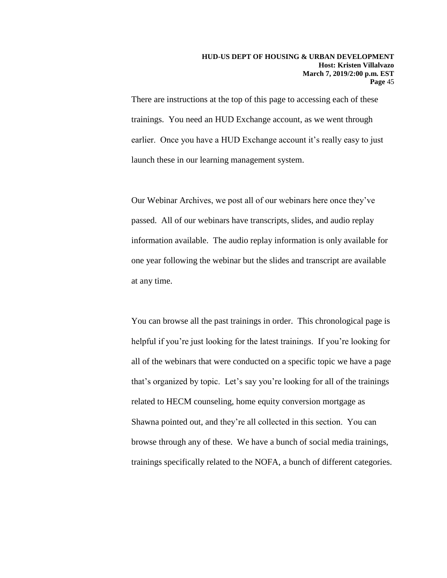There are instructions at the top of this page to accessing each of these trainings. You need an HUD Exchange account, as we went through earlier. Once you have a HUD Exchange account it's really easy to just launch these in our learning management system.

Our Webinar Archives, we post all of our webinars here once they've passed. All of our webinars have transcripts, slides, and audio replay information available. The audio replay information is only available for one year following the webinar but the slides and transcript are available at any time.

You can browse all the past trainings in order. This chronological page is helpful if you're just looking for the latest trainings. If you're looking for all of the webinars that were conducted on a specific topic we have a page that's organized by topic. Let's say you're looking for all of the trainings related to HECM counseling, home equity conversion mortgage as Shawna pointed out, and they're all collected in this section. You can browse through any of these. We have a bunch of social media trainings, trainings specifically related to the NOFA, a bunch of different categories.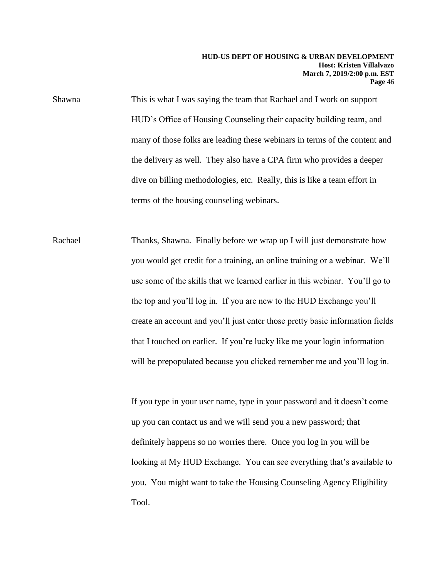Shawna This is what I was saying the team that Rachael and I work on support HUD's Office of Housing Counseling their capacity building team, and many of those folks are leading these webinars in terms of the content and the delivery as well. They also have a CPA firm who provides a deeper dive on billing methodologies, etc. Really, this is like a team effort in terms of the housing counseling webinars.

Rachael Thanks, Shawna. Finally before we wrap up I will just demonstrate how you would get credit for a training, an online training or a webinar. We'll use some of the skills that we learned earlier in this webinar. You'll go to the top and you'll log in. If you are new to the HUD Exchange you'll create an account and you'll just enter those pretty basic information fields that I touched on earlier. If you're lucky like me your login information will be prepopulated because you clicked remember me and you'll log in.

> If you type in your user name, type in your password and it doesn't come up you can contact us and we will send you a new password; that definitely happens so no worries there. Once you log in you will be looking at My HUD Exchange. You can see everything that's available to you. You might want to take the Housing Counseling Agency Eligibility Tool.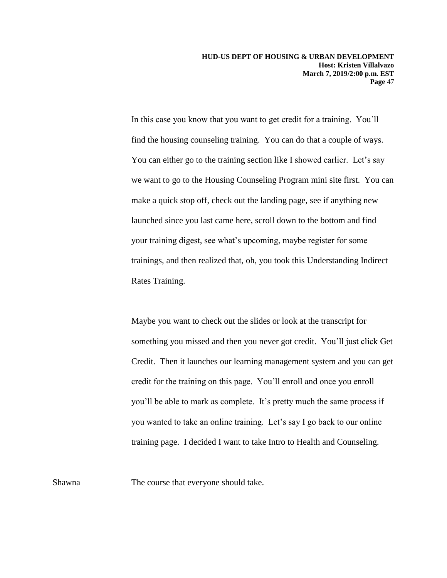In this case you know that you want to get credit for a training. You'll find the housing counseling training. You can do that a couple of ways. You can either go to the training section like I showed earlier. Let's say we want to go to the Housing Counseling Program mini site first. You can make a quick stop off, check out the landing page, see if anything new launched since you last came here, scroll down to the bottom and find your training digest, see what's upcoming, maybe register for some trainings, and then realized that, oh, you took this Understanding Indirect Rates Training.

Maybe you want to check out the slides or look at the transcript for something you missed and then you never got credit. You'll just click Get Credit. Then it launches our learning management system and you can get credit for the training on this page. You'll enroll and once you enroll you'll be able to mark as complete. It's pretty much the same process if you wanted to take an online training. Let's say I go back to our online training page. I decided I want to take Intro to Health and Counseling.

Shawna The course that everyone should take.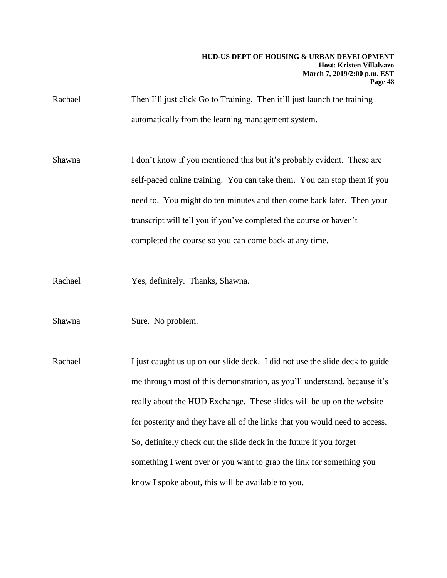Rachael Then I'll just click Go to Training. Then it'll just launch the training automatically from the learning management system.

Shawna I don't know if you mentioned this but it's probably evident. These are self-paced online training. You can take them. You can stop them if you need to. You might do ten minutes and then come back later. Then your transcript will tell you if you've completed the course or haven't completed the course so you can come back at any time.

Rachael Yes, definitely. Thanks, Shawna.

Shawna Sure. No problem.

Rachael I just caught us up on our slide deck. I did not use the slide deck to guide me through most of this demonstration, as you'll understand, because it's really about the HUD Exchange. These slides will be up on the website for posterity and they have all of the links that you would need to access. So, definitely check out the slide deck in the future if you forget something I went over or you want to grab the link for something you know I spoke about, this will be available to you.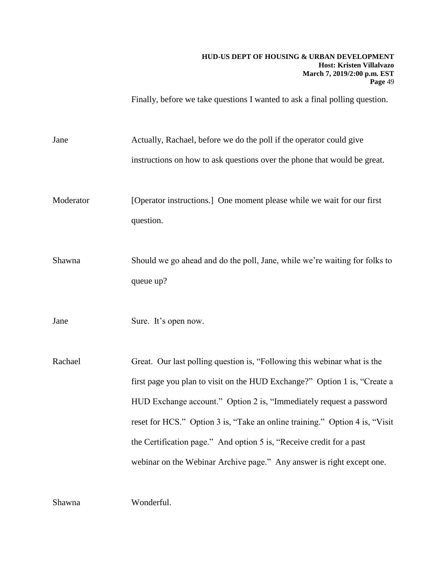Finally, before we take questions I wanted to ask a final polling question.

Jane Actually, Rachael, before we do the poll if the operator could give instructions on how to ask questions over the phone that would be great.

Moderator [Operator instructions.] One moment please while we wait for our first question.

Shawna Should we go ahead and do the poll, Jane, while we're waiting for folks to queue up?

Jane Sure. It's open now.

Rachael Great. Our last polling question is, "Following this webinar what is the first page you plan to visit on the HUD Exchange?" Option 1 is, "Create a HUD Exchange account." Option 2 is, "Immediately request a password reset for HCS." Option 3 is, "Take an online training." Option 4 is, "Visit the Certification page." And option 5 is, "Receive credit for a past webinar on the Webinar Archive page." Any answer is right except one.

Shawna Wonderful.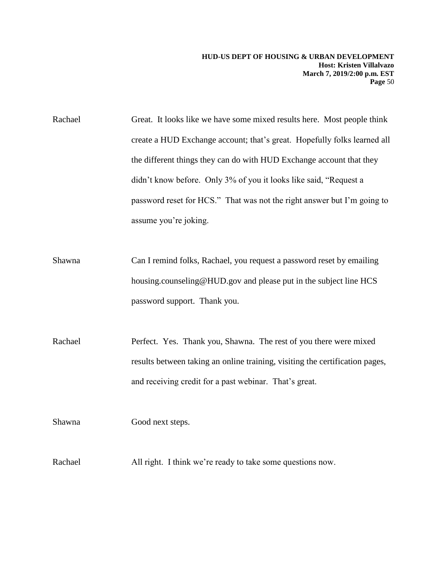Rachael Great. It looks like we have some mixed results here. Most people think create a HUD Exchange account; that's great. Hopefully folks learned all the different things they can do with HUD Exchange account that they didn't know before. Only 3% of you it looks like said, "Request a password reset for HCS." That was not the right answer but I'm going to assume you're joking.

Shawna Can I remind folks, Rachael, you request a password reset by emailing housing.counseling@HUD.gov and please put in the subject line HCS password support. Thank you.

Rachael Perfect. Yes. Thank you, Shawna. The rest of you there were mixed results between taking an online training, visiting the certification pages, and receiving credit for a past webinar. That's great.

Shawna Good next steps.

Rachael All right. I think we're ready to take some questions now.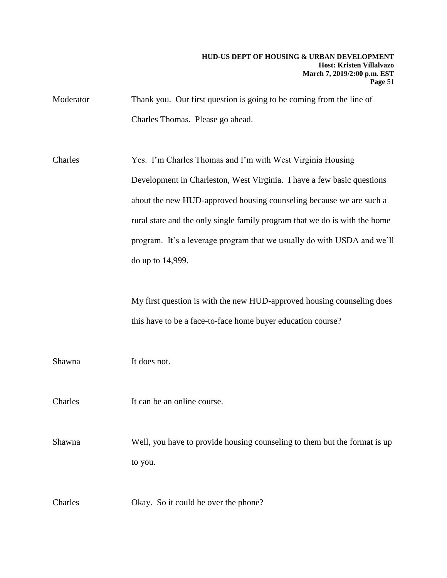Moderator Thank you. Our first question is going to be coming from the line of Charles Thomas. Please go ahead.

Charles Yes. I'm Charles Thomas and I'm with West Virginia Housing Development in Charleston, West Virginia. I have a few basic questions about the new HUD-approved housing counseling because we are such a rural state and the only single family program that we do is with the home program. It's a leverage program that we usually do with USDA and we'll do up to 14,999.

> My first question is with the new HUD-approved housing counseling does this have to be a face-to-face home buyer education course?

Shawna It does not.

Charles It can be an online course.

Shawna Well, you have to provide housing counseling to them but the format is up to you.

Charles Okay. So it could be over the phone?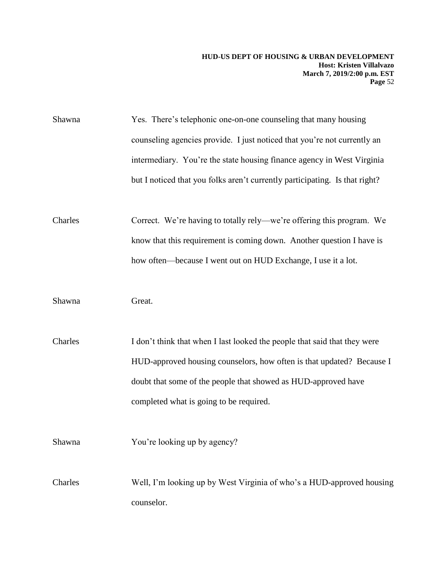| Shawna  | Yes. There's telephonic one-on-one counseling that many housing             |
|---------|-----------------------------------------------------------------------------|
|         | counseling agencies provide. I just noticed that you're not currently an    |
|         | intermediary. You're the state housing finance agency in West Virginia      |
|         | but I noticed that you folks aren't currently participating. Is that right? |
| Charles | Correct. We're having to totally rely—we're offering this program. We       |
|         | know that this requirement is coming down. Another question I have is       |
|         | how often—because I went out on HUD Exchange, I use it a lot.               |
| Shawna  | Great.                                                                      |
| Charles | I don't think that when I last looked the people that said that they were   |
|         | HUD-approved housing counselors, how often is that updated? Because I       |
|         | doubt that some of the people that showed as HUD-approved have              |
|         | completed what is going to be required.                                     |
| Shawna  | You're looking up by agency?                                                |
| Charles | Well, I'm looking up by West Virginia of who's a HUD-approved housing       |
|         | counselor.                                                                  |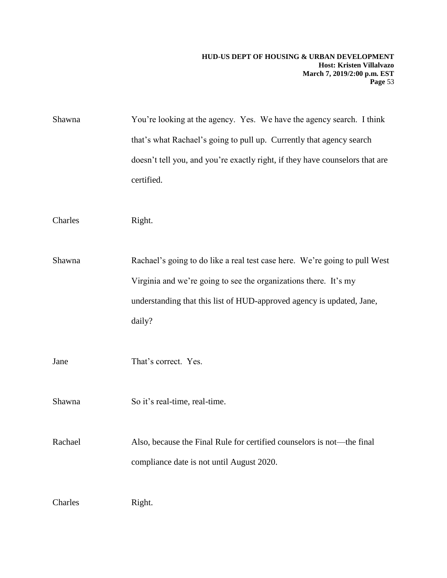Shawna You're looking at the agency. Yes. We have the agency search. I think that's what Rachael's going to pull up. Currently that agency search doesn't tell you, and you're exactly right, if they have counselors that are certified.

Charles Right.

Shawna Rachael's going to do like a real test case here. We're going to pull West Virginia and we're going to see the organizations there. It's my understanding that this list of HUD-approved agency is updated, Jane, daily?

Jane That's correct. Yes.

Shawna So it's real-time, real-time.

Rachael Also, because the Final Rule for certified counselors is not—the final compliance date is not until August 2020.

Charles Right.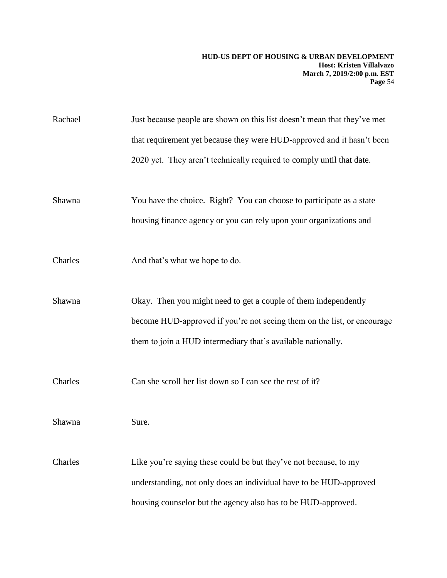| Rachael | Just because people are shown on this list doesn't mean that they've met |
|---------|--------------------------------------------------------------------------|
|         | that requirement yet because they were HUD-approved and it hasn't been   |
|         | 2020 yet. They aren't technically required to comply until that date.    |
|         |                                                                          |
| Shawna  | You have the choice. Right? You can choose to participate as a state     |
|         | housing finance agency or you can rely upon your organizations and -     |
|         |                                                                          |
| Charles | And that's what we hope to do.                                           |
|         |                                                                          |
| Shawna  | Okay. Then you might need to get a couple of them independently          |
|         | become HUD-approved if you're not seeing them on the list, or encourage  |
|         | them to join a HUD intermediary that's available nationally.             |
|         |                                                                          |
| Charles | Can she scroll her list down so I can see the rest of it?                |
|         |                                                                          |
| Shawna  | Sure.                                                                    |
|         |                                                                          |
| Charles | Like you're saying these could be but they've not because, to my         |
|         | understanding, not only does an individual have to be HUD-approved       |
|         | housing counselor but the agency also has to be HUD-approved.            |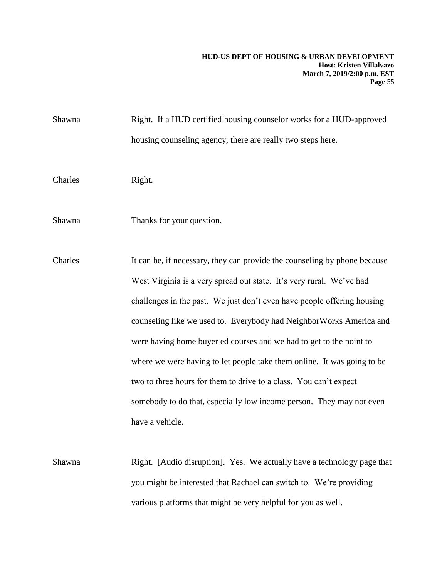Shawna Right. If a HUD certified housing counselor works for a HUD-approved housing counseling agency, there are really two steps here. Charles Right. Shawna Thanks for your question. Charles It can be, if necessary, they can provide the counseling by phone because West Virginia is a very spread out state. It's very rural. We've had challenges in the past. We just don't even have people offering housing counseling like we used to. Everybody had NeighborWorks America and were having home buyer ed courses and we had to get to the point to where we were having to let people take them online. It was going to be two to three hours for them to drive to a class. You can't expect somebody to do that, especially low income person. They may not even have a vehicle.

Shawna Right. [Audio disruption]. Yes. We actually have a technology page that you might be interested that Rachael can switch to. We're providing various platforms that might be very helpful for you as well.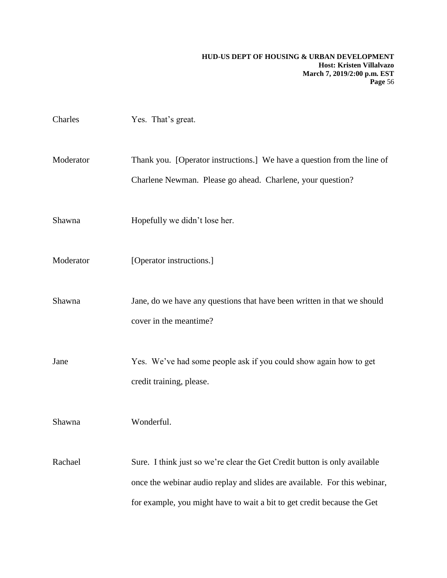| Charles   | Yes. That's great.                                                                                                                                                                                                                |
|-----------|-----------------------------------------------------------------------------------------------------------------------------------------------------------------------------------------------------------------------------------|
| Moderator | Thank you. [Operator instructions.] We have a question from the line of<br>Charlene Newman. Please go ahead. Charlene, your question?                                                                                             |
| Shawna    | Hopefully we didn't lose her.                                                                                                                                                                                                     |
| Moderator | [Operator instructions.]                                                                                                                                                                                                          |
| Shawna    | Jane, do we have any questions that have been written in that we should<br>cover in the meantime?                                                                                                                                 |
| Jane      | Yes. We've had some people ask if you could show again how to get<br>credit training, please.                                                                                                                                     |
| Shawna    | Wonderful.                                                                                                                                                                                                                        |
| Rachael   | Sure. I think just so we're clear the Get Credit button is only available<br>once the webinar audio replay and slides are available. For this webinar,<br>for example, you might have to wait a bit to get credit because the Get |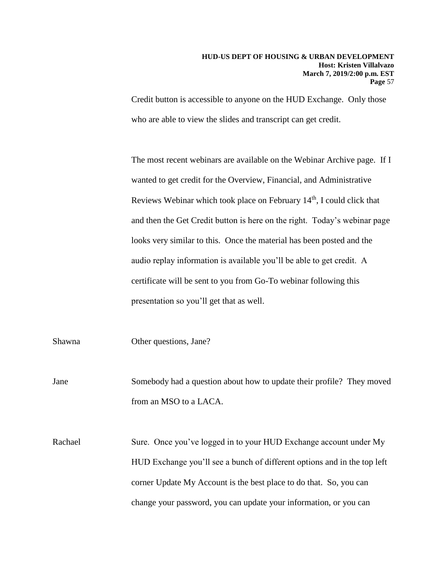Credit button is accessible to anyone on the HUD Exchange. Only those who are able to view the slides and transcript can get credit.

The most recent webinars are available on the Webinar Archive page. If I wanted to get credit for the Overview, Financial, and Administrative Reviews Webinar which took place on February  $14<sup>th</sup>$ , I could click that and then the Get Credit button is here on the right. Today's webinar page looks very similar to this. Once the material has been posted and the audio replay information is available you'll be able to get credit. A certificate will be sent to you from Go-To webinar following this presentation so you'll get that as well.

Shawna Other questions, Jane?

Jane Somebody had a question about how to update their profile? They moved from an MSO to a LACA.

Rachael Sure. Once you've logged in to your HUD Exchange account under My HUD Exchange you'll see a bunch of different options and in the top left corner Update My Account is the best place to do that. So, you can change your password, you can update your information, or you can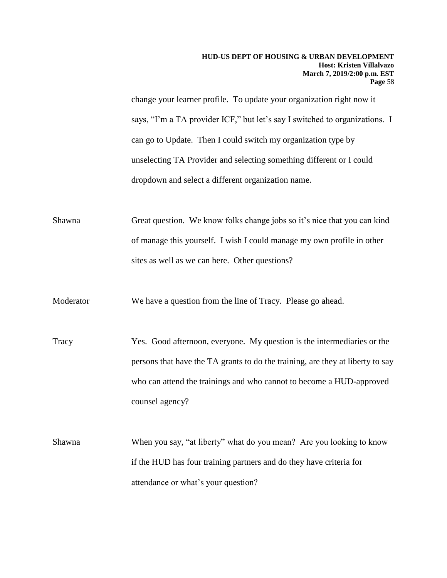change your learner profile. To update your organization right now it says, "I'm a TA provider ICF," but let's say I switched to organizations. I can go to Update. Then I could switch my organization type by unselecting TA Provider and selecting something different or I could dropdown and select a different organization name.

Shawna Great question. We know folks change jobs so it's nice that you can kind of manage this yourself. I wish I could manage my own profile in other sites as well as we can here. Other questions?

Moderator We have a question from the line of Tracy. Please go ahead.

Tracy Yes. Good afternoon, everyone. My question is the intermediaries or the persons that have the TA grants to do the training, are they at liberty to say who can attend the trainings and who cannot to become a HUD-approved counsel agency?

Shawna When you say, "at liberty" what do you mean? Are you looking to know if the HUD has four training partners and do they have criteria for attendance or what's your question?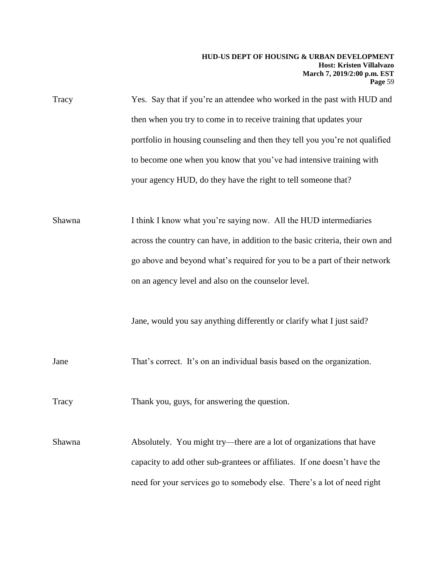| Tracy | Yes. Say that if you're an attendee who worked in the past with HUD and     |
|-------|-----------------------------------------------------------------------------|
|       | then when you try to come in to receive training that updates your          |
|       | portfolio in housing counseling and then they tell you you're not qualified |
|       | to become one when you know that you've had intensive training with         |
|       | your agency HUD, do they have the right to tell someone that?               |
|       |                                                                             |

Shawna I think I know what you're saying now. All the HUD intermediaries across the country can have, in addition to the basic criteria, their own and go above and beyond what's required for you to be a part of their network on an agency level and also on the counselor level.

Jane, would you say anything differently or clarify what I just said?

Jane That's correct. It's on an individual basis based on the organization.

Tracy Thank you, guys, for answering the question.

Shawna Absolutely. You might try—there are a lot of organizations that have capacity to add other sub-grantees or affiliates. If one doesn't have the need for your services go to somebody else. There's a lot of need right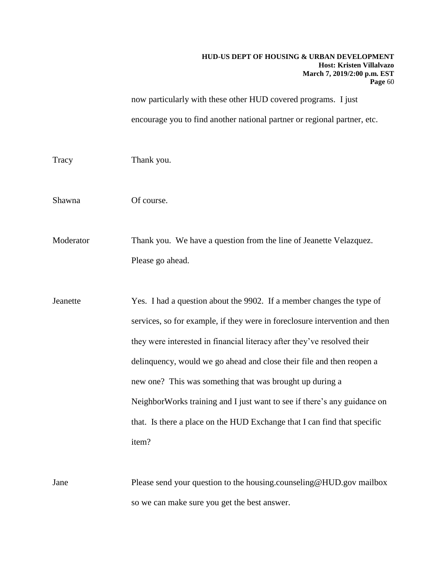now particularly with these other HUD covered programs. I just encourage you to find another national partner or regional partner, etc.

Tracy Thank you.

Shawna Of course.

Moderator Thank you. We have a question from the line of Jeanette Velazquez. Please go ahead.

Jeanette Yes. I had a question about the 9902. If a member changes the type of services, so for example, if they were in foreclosure intervention and then they were interested in financial literacy after they've resolved their delinquency, would we go ahead and close their file and then reopen a new one? This was something that was brought up during a NeighborWorks training and I just want to see if there's any guidance on that. Is there a place on the HUD Exchange that I can find that specific item?

Jane Please send your question to the housing.counseling@HUD.gov mailbox so we can make sure you get the best answer.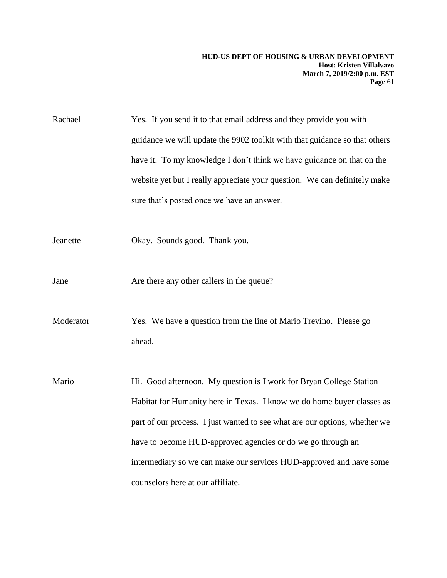Rachael Yes. If you send it to that email address and they provide you with guidance we will update the 9902 toolkit with that guidance so that others have it. To my knowledge I don't think we have guidance on that on the website yet but I really appreciate your question. We can definitely make sure that's posted once we have an answer.

- Jeanette Okay. Sounds good. Thank you.
- Jane Are there any other callers in the queue?

Moderator Yes. We have a question from the line of Mario Trevino. Please go ahead.

Mario Hi. Good afternoon. My question is I work for Bryan College Station Habitat for Humanity here in Texas. I know we do home buyer classes as part of our process. I just wanted to see what are our options, whether we have to become HUD-approved agencies or do we go through an intermediary so we can make our services HUD-approved and have some counselors here at our affiliate.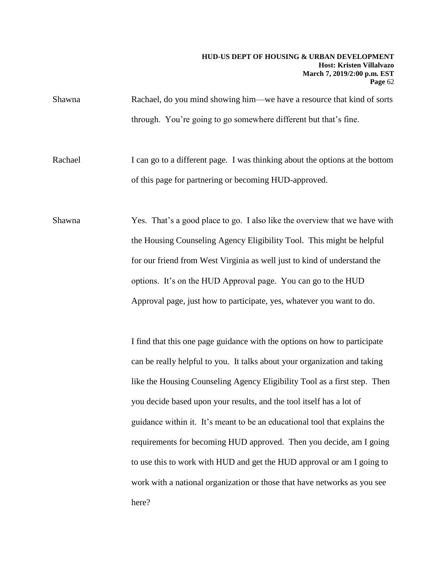Shawna Rachael, do you mind showing him—we have a resource that kind of sorts through. You're going to go somewhere different but that's fine.

Rachael I can go to a different page. I was thinking about the options at the bottom of this page for partnering or becoming HUD-approved.

Shawna Yes. That's a good place to go. I also like the overview that we have with the Housing Counseling Agency Eligibility Tool. This might be helpful for our friend from West Virginia as well just to kind of understand the options. It's on the HUD Approval page. You can go to the HUD Approval page, just how to participate, yes, whatever you want to do.

> I find that this one page guidance with the options on how to participate can be really helpful to you. It talks about your organization and taking like the Housing Counseling Agency Eligibility Tool as a first step. Then you decide based upon your results, and the tool itself has a lot of guidance within it. It's meant to be an educational tool that explains the requirements for becoming HUD approved. Then you decide, am I going to use this to work with HUD and get the HUD approval or am I going to work with a national organization or those that have networks as you see here?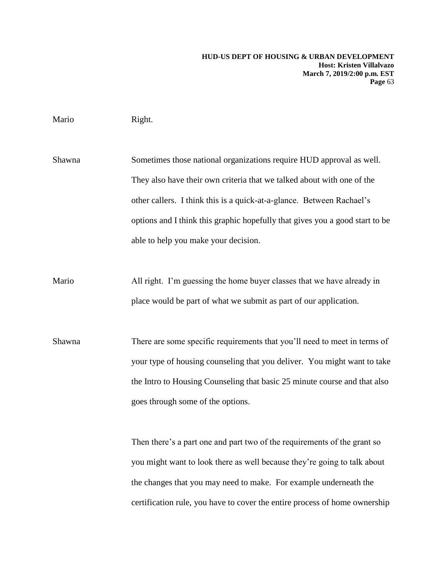# Mario Right.

Shawna Sometimes those national organizations require HUD approval as well. They also have their own criteria that we talked about with one of the other callers. I think this is a quick-at-a-glance. Between Rachael's options and I think this graphic hopefully that gives you a good start to be able to help you make your decision.

Mario All right. I'm guessing the home buyer classes that we have already in place would be part of what we submit as part of our application.

Shawna There are some specific requirements that you'll need to meet in terms of your type of housing counseling that you deliver. You might want to take the Intro to Housing Counseling that basic 25 minute course and that also goes through some of the options.

> Then there's a part one and part two of the requirements of the grant so you might want to look there as well because they're going to talk about the changes that you may need to make. For example underneath the certification rule, you have to cover the entire process of home ownership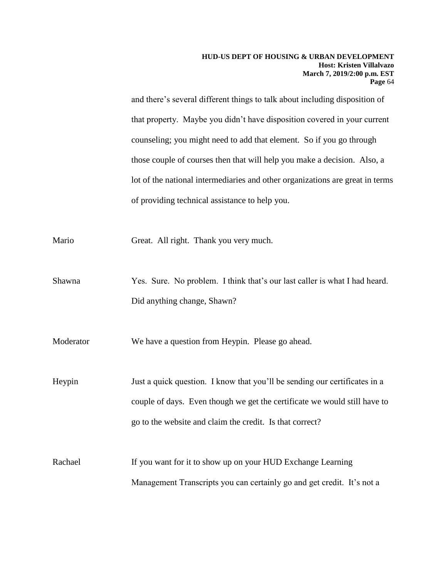and there's several different things to talk about including disposition of that property. Maybe you didn't have disposition covered in your current counseling; you might need to add that element. So if you go through those couple of courses then that will help you make a decision. Also, a lot of the national intermediaries and other organizations are great in terms of providing technical assistance to help you.

Mario Great. All right. Thank you very much.

Shawna Yes. Sure. No problem. I think that's our last caller is what I had heard. Did anything change, Shawn?

Moderator We have a question from Heypin. Please go ahead.

Heypin Just a quick question. I know that you'll be sending our certificates in a couple of days. Even though we get the certificate we would still have to go to the website and claim the credit. Is that correct?

Rachael If you want for it to show up on your HUD Exchange Learning Management Transcripts you can certainly go and get credit. It's not a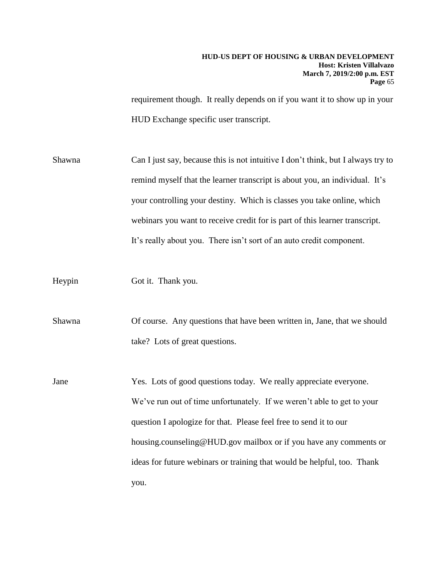requirement though. It really depends on if you want it to show up in your HUD Exchange specific user transcript.

Shawna Can I just say, because this is not intuitive I don't think, but I always try to remind myself that the learner transcript is about you, an individual. It's your controlling your destiny. Which is classes you take online, which webinars you want to receive credit for is part of this learner transcript. It's really about you. There isn't sort of an auto credit component.

Heypin Got it. Thank you.

Shawna Of course. Any questions that have been written in, Jane, that we should take? Lots of great questions.

Jane Yes. Lots of good questions today. We really appreciate everyone. We've run out of time unfortunately. If we weren't able to get to your question I apologize for that. Please feel free to send it to our housing.counseling@HUD.gov mailbox or if you have any comments or ideas for future webinars or training that would be helpful, too. Thank you.